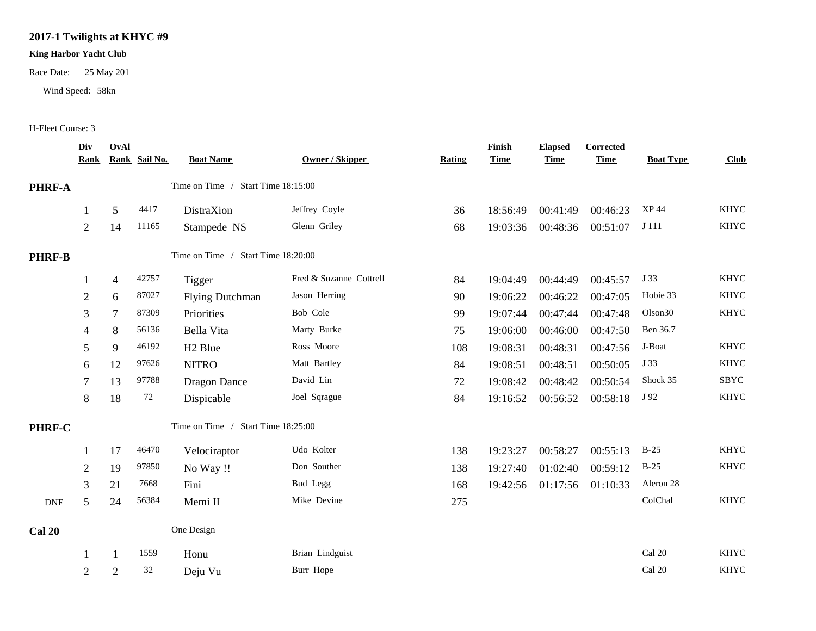## **2017-1 Twilights at KHYC #9**

## **King Harbor Yacht Club**

Race Date: 25 May 201

Wind Speed: 58kn

## H-Fleet Course: 3

|                                              | Div<br><u>Rank</u>                 | OvAl           | Rank Sail No. | <b>Boat Name</b>                   | <b>Owner / Skipper</b>  | Rating | Finish<br><b>Time</b> | <b>Elapsed</b><br><b>Time</b> | Corrected<br><b>Time</b> | <b>Boat Type</b>    | Club        |
|----------------------------------------------|------------------------------------|----------------|---------------|------------------------------------|-------------------------|--------|-----------------------|-------------------------------|--------------------------|---------------------|-------------|
| <b>PHRF-A</b>                                | Time on Time / Start Time 18:15:00 |                |               |                                    |                         |        |                       |                               |                          |                     |             |
|                                              | $\mathbf{1}$                       | 5              | 4417          | DistraXion                         | Jeffrey Coyle           | 36     | 18:56:49              | 00:41:49                      | 00:46:23                 | XP 44               | <b>KHYC</b> |
|                                              | 2                                  | 14             | 11165         | Stampede NS                        | Glenn Griley            | 68     | 19:03:36              | 00:48:36                      | 00:51:07                 | J 111               | <b>KHYC</b> |
| <b>PHRF-B</b>                                |                                    |                |               | Time on Time / Start Time 18:20:00 |                         |        |                       |                               |                          |                     |             |
|                                              | 1                                  | $\overline{4}$ | 42757         | <b>Tigger</b>                      | Fred & Suzanne Cottrell | 84     | 19:04:49              | 00:44:49                      | 00:45:57                 | J 33                | <b>KHYC</b> |
|                                              | $\boldsymbol{2}$                   | 6              | 87027         | <b>Flying Dutchman</b>             | Jason Herring           | 90     | 19:06:22              | 00:46:22                      | 00:47:05                 | Hobie 33            | <b>KHYC</b> |
|                                              | 3                                  | 7              | 87309         | Priorities                         | Bob Cole                | 99     | 19:07:44              | 00:47:44                      | 00:47:48                 | Olson <sub>30</sub> | <b>KHYC</b> |
|                                              | 4                                  | 8              | 56136         | Bella Vita                         | Marty Burke             | 75     | 19:06:00              | 00:46:00                      | 00:47:50                 | Ben 36.7            |             |
|                                              | 5                                  | 9              | 46192         | H <sub>2</sub> Blue                | Ross Moore              | 108    | 19:08:31              | 00:48:31                      | 00:47:56                 | J-Boat              | <b>KHYC</b> |
|                                              | 6                                  | 12             | 97626         | <b>NITRO</b>                       | Matt Bartley            | 84     | 19:08:51              | 00:48:51                      | 00:50:05                 | J 33                | <b>KHYC</b> |
|                                              | 7                                  | 13             | 97788         | <b>Dragon Dance</b>                | David Lin               | 72     | 19:08:42              | 00:48:42                      | 00:50:54                 | Shock 35            | SBYC        |
|                                              | $8\,$                              | 18             | 72            | Dispicable                         | Joel Sqrague            | 84     | 19:16:52              | 00:56:52                      | 00:58:18                 | J 92                | <b>KHYC</b> |
| Time on Time / Start Time 18:25:00<br>PHRF-C |                                    |                |               |                                    |                         |        |                       |                               |                          |                     |             |
|                                              | 1                                  | 17             | 46470         | Velociraptor                       | Udo Kolter              | 138    | 19:23:27              | 00:58:27                      | 00:55:13                 | $B-25$              | <b>KHYC</b> |
|                                              | $\overline{2}$                     | 19             | 97850         | No Way !!                          | Don Souther             | 138    | 19:27:40              | 01:02:40                      | 00:59:12                 | $B-25$              | <b>KHYC</b> |
|                                              | 3                                  | 21             | 7668          | Fini                               | Bud Legg                | 168    | 19:42:56              | 01:17:56                      | 01:10:33                 | Aleron 28           |             |
| $\ensuremath{\mathsf{DNF}}$                  | 5                                  | 24             | 56384         | Memi II                            | Mike Devine             | 275    |                       |                               |                          | ColChal             | <b>KHYC</b> |
| <b>Cal 20</b>                                |                                    |                |               | One Design                         |                         |        |                       |                               |                          |                     |             |
|                                              | 1                                  |                | 1559          | Honu                               | Brian Lindguist         |        |                       |                               |                          | Cal 20              | <b>KHYC</b> |
|                                              | $\overline{2}$                     | $\overline{2}$ | 32            | Deju Vu                            | Burr Hope               |        |                       |                               |                          | Cal 20              | <b>KHYC</b> |
|                                              |                                    |                |               |                                    |                         |        |                       |                               |                          |                     |             |